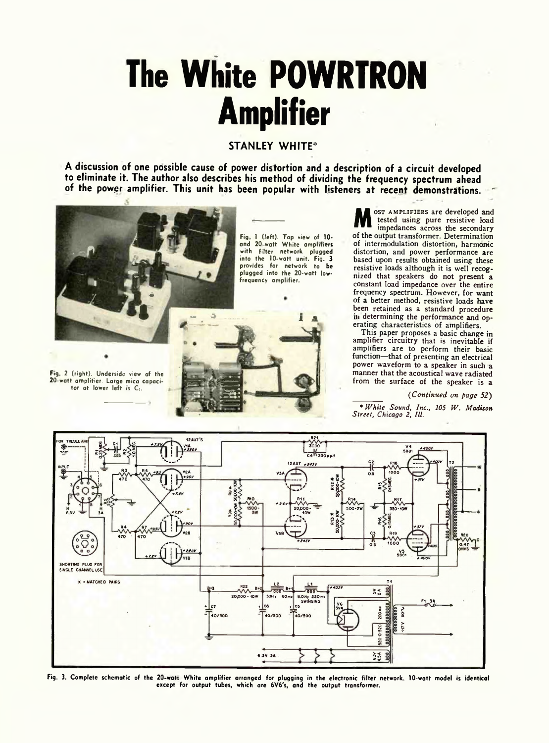# **The White POWRTRON Amplifier**

## **STANLEY WHITE\***

**A discussion of one possible cause of power distortion and a description of a circuit developed to eliminate it. The author also describes his method of dividing the frequency spectrum ahead of the power amplifier. This unit has been popular with listeners at recent demonstrations.**



Fig. 2 (right). Underside view of the 20-watt amplitier. Large mica capacitor at lower left is C<sub>1</sub>.

Fig. 1 (left). Top view of 10and 20-watt White amplifiers with filter network plugged into the 10-watt unit. Fig. 3 provides for network to be plugged into the 20-watt lowfrequency amplifier.



M tested using pure resistive boad impedances across the secondary<br>of the output transformer. Determination ost amplifiers are developed and tested using pure resistive load impedances across the secondary of intermodulation distortion, harmonic distortion, and power performance are based upon results obtained using these resistive loads although it is well recognized that speakers do not present a constant load impedance over the entire frequency spectrum. However, for want of a better method, resistive loads have been retained as a standard procedure in determining the performance and operating characteristics of amplifiers.

This paper proposes a basic change in amplifier circuitry that is inevitable if amplifiers are to perform their basic function—that of presenting an electrical power waveform to a speaker in such a manner that the acoustical wave radiated from the surface of the speaker is a

### *( Continued on page 52)*

*\* White Sound, Inc., 105 W. Madison Street, Chicago 2, III.*



Fig. 3. Ccir.piete schematic of the 20 wat- White amplifier arranged for plugging in the electronic filter network. 10-watt model is identical except for output tubes, which are 6V6's, and the output transformer.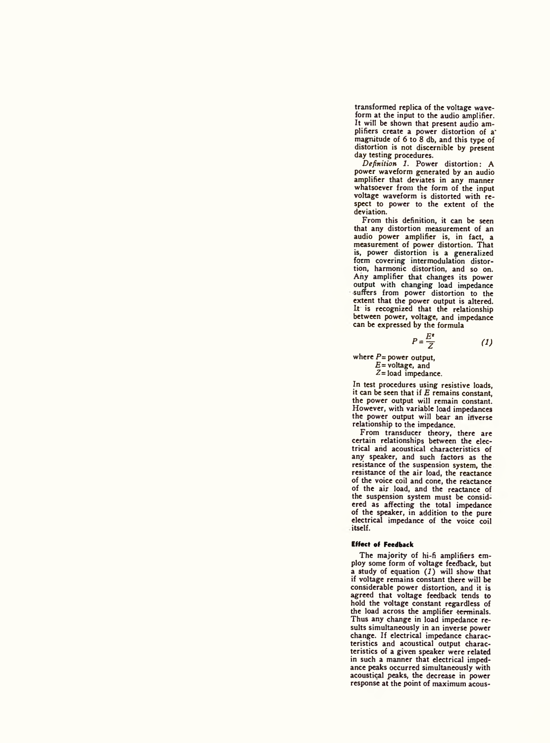transformed replica of the voltage waveform at the input to the audio amplifier. It will be shown that present audio amplifiers create a power distortion of a' magnitude of 6 to 8 db, and this type of distortion is not discernible by present day testing procedures.

*Definition 1.* Power distortion: A power waveform generated by an audio amplifier that deviates in any manner whatsoever from the form of the input voltage waveform is distorted with respect to power to the extent of the deviation.

From this definition, it can be seen that any distortion measurement of an audio power amplifier is, in fact, a measurement of power distortion. That is, power distortion is a generalized<br>form covering intermodulation distortion, harmonic distortion, and so on. Any amplifier that changes its power output with changing load impedance suffers from power distortion to the extent that the power output is altered. It is recognized that the relationship between power, voltage, and impedance can be expressed by the formula

$$
\hspace{1.6cm} (1)
$$

where *P=* power output, *E=* voltage, and  $Z =$  load impedance.

In test procedures using resistive loads, it can be seen that if *E* remains constant, the power output will remain constant. However, with variable load impedances the power output will bear an inverse relationship to the impedance.

 $P = \frac{E^*}{Z}$ 

From transducer theory, there are certain relationships between the electrical arid acoustical characteristics of any speaker, and such factors as the resistance of the suspension system, the resistance of the air load, the reactance of the voice coil and cone, the reactance of the air load, and the reactance of the suspension system must be considered as affecting the total impedance of the speaker, in addition to the pure electrical impedance of the voice coil itself.

#### **Effect of Feedback**

The majority of hi-fi amplifiers employ some form of voltage feedback, but a study of equation *(1)* will show that if voltage remains constant there will be considerable power distortion, and it is agreed that voltage feedback tends to hold the voltage constant regardless of the load across the amplifier terminals. Thus any change in load impedance results simultaneously in an inverse power change. If electrical impedance characteristics and acoustical output characteristics of a given speaker were related in such a manner that electrical impedance peaks occurred simultaneously with acoustical peaks, the decrease in power response at the point of maximum acous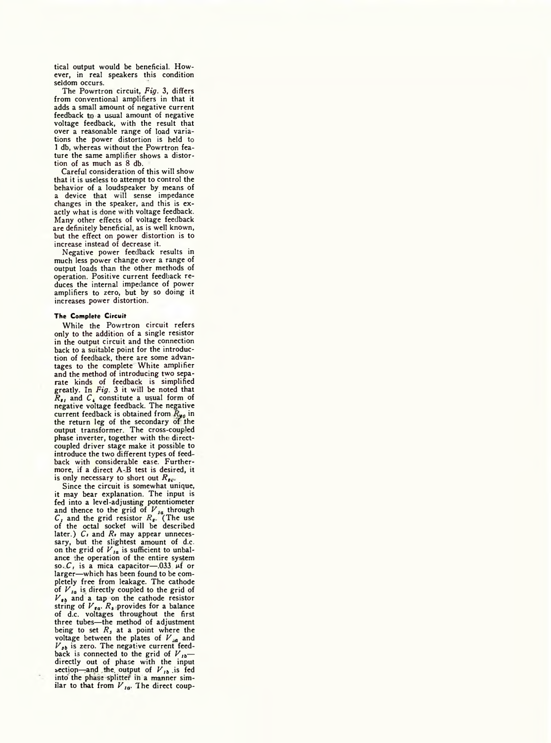tical output would be beneficial. However, in real speakers this condition seldom occurs.

The Powrtron circuit, *Fig.* 3, differs from conventional amplifiers in that it adds a small amount of negative current feedback to a usual amount of negative voltage feedback, with the result that over a reasonable range of load variations the power distortion is held to 1 db, whereas without the Powrtron feature the same amplifier shows a distortion of as much as 8 db.

Careful consideration of this will show that it is useless to attempt to control the behavior of a loudspeaker by means of a device that will sense impedance changes in the speaker, and this is exactly what is done with voltage feedback. Many other effects of voltage feedback are definitely beneficial, as is well known, but the effect on power distortion is to increase instead of decrease it.

Negative power feedback results in much less power change over a range of output loads than the other methods of operation. Positive current feedback reduces the internal impedance of power amplifiers to zero, but by so doing it increases power distortion.

#### **The Complete Circuit**

While the Powrtron circuit refers only to the addition of a single resistor in the output circuit and the connection back to a suitable point for the introduction of feedback, there are some advan-tages to the complete White amplifier and the method of introducing two separate kinds of feedback is simplified greatly. In *Fig.* 3 it will be noted that  $R_{t}$  and  $C_{\bullet}$  constitute a usual form of negative voltage feedback. The negative current feedback is obtained from  $R_{40}$  in the return leg of the secondary of the<br>output transformer. The cross-coupled phase inverter, together with the directcoupled driver stage make it possible to introduce the two different types of teed back with considerable ease. Furthermore, if a direct A-B test is desired, it is only necessary to short out  $R_{\text{for}}$ 

Since the circuit is somewhat unique, it may bear explanation. The input is fed into a level-adjusting potentiometer<br>and thence to the grid of  $V_{1a}$  through<br> $C_i$  and the grid resistor  $R_{i+1}$  (The use<br>of the octal socket will be described<br>later.)  $C_i$  and  $R_i$  may appear unnecessary, but the slightest amount of d.c. on the grid of *V ,a* is sufficient to unbal-ance the operation of the entire system so.  $C_i$ , is a mica capacitor-033  $\mu$ f or larger—which has been found to be completely free from leakage. The cathode of  $V_{Ia}$  is directly coupled to the grid of  $V_{sb}$  and a tap on the cathode resistor string of  $V_{sa}$ .  $R_s$  provides for a balance of d.c. voltages throughout the first three tubes—the method of adjustment being to set  $R_s$  at a point where the voltage between the plates of  $V_{sa}$  and  $V_{sb}$  is zero. The negative current feedback is connected to the grid of  $V_{1b}$  directly out of phase with the input<br>section—and the output of  $V_{th}$  is fed<br>into the phase splitter in a manner similar to that from  $V_{1a}$ . The direct coup-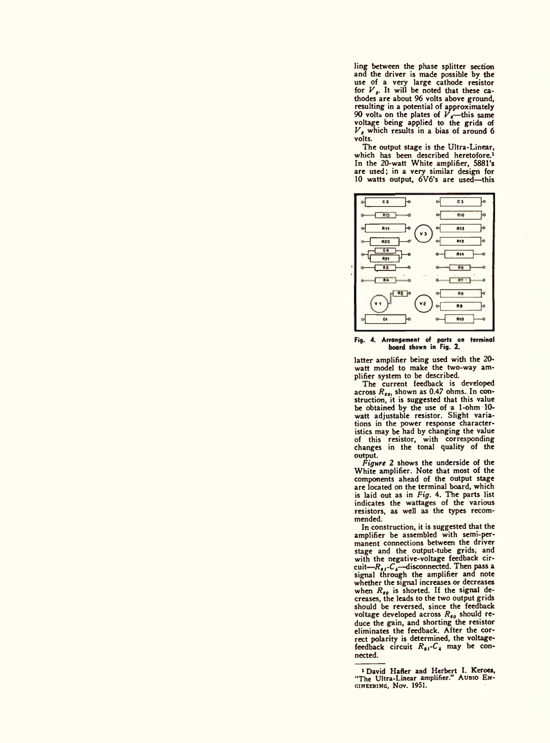ling between the phase splitter section and the driver is made possible by the use of a very large cathode resistor for  $V_{\mathbf{r}}$ . It will be noted that these cathodes are about 96 volts above ground, resulting in a potential of approximately<br>90 volts on the plates of  $V<sub>g</sub>$ —this same voltage being applied to the grids of *V ,* which results in a bias of around 6 volts.

The output stage is the Ultra-Linear, which has been described heretofore.<sup>1</sup><br>In the 20-watt White amplifier, 5881's are used; in a very similar design for 10 watts output, 6V6's are used—this



Fig. 4. Arrangement of parts on terminal board shown in Fig. 2.

latter amplifier being used with the 20 watt model to make the two-way am-plifier system to be described.

The current feedback is developed<br>across *R<sub>80</sub>*, shown as 0.47 ohms.. In con-<br>struction, it is suggested that this value be obtained by the use of a 1-ohm 10 watt adjustable resistor. Slight variations in the power response characteristics may be had by changing the value of this resistor, with corresponding changes in the tonal quality of the output.

*Figure* 2 shows the underside of the White amplifier. Note that most of the components ahead of the output stage are located on the terminal board, which is laid out as in *Fig.* 4. The parts list indicates the wattages of the various resistors, as well as the types recommended.

In construction, it is suggested that the amplifier be assembled with semi-permanent connections between the driver stage and the output-tube grids; and with the negative-voltage feedback circuit—*R<sub>es</sub>-C*<sub>4</sub>—disconnected. Then pass a signal through the amplifier and note whether the signal increases or decreases when  $R_{g0}$  is shorted. If the signal decreases, the leads to the two output grids should be reversed, since the feedback voltage developed across  $R_{\epsilon_0}$  should reduce the gain, and shorting the resistor eliminates the feedback. After the correct polarity is determined, the voltagefeedback circuit  $R_{gI} - C_4$  may be connected.

<sup>1</sup> David Hafler and Herbert I. Keroea, "The Ultra-Linear amplifier." Audio E ngineering, Nov. 1951.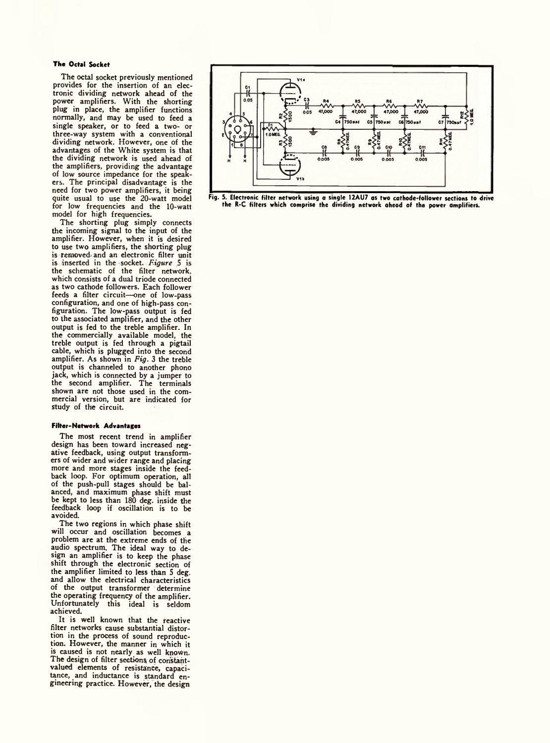#### **The Octal Socket**

The octal socket previously mentioned provides for the insertion of an electronic dividing network ahead of the power amplifiers. With the shorting plug in place, the amplifier functions normally, and may be used to feed a single speaker, or to feed a two- or three-way system with a conventional dividing network. However, one of the advantages of the White system is that the dividing network is used ahead of the amplifiers, providing the advantage of low source impedance for the speakers. The principal disadvantage is the need for two power amplifiers, it being quite usual to use the 20-watt model for low frequencies and the 10-watt model for high frequencies.

The shorting plug simply connects the incoming signal to the input of the amplifier. However, when it is desired to use two amplifiers, the shorting plug is removed, and an electronic filter unit is inserted in the socket. *Figure* 5 is the schematic of the filter network, which consists of a dual triode connected as two cathode followers. Each follower feeds a filter circuit—one of low-pass configuration, and one of high-pass configuration. The low-pass output is fed to the associated amplifier, and the other output is fed to the treble amplifier. In the commercially available model, the treble output is fed through a pigtail cable, which is plugged into the second amplifier. As shown in *Fig.* 3 the treble output is channeled to another phono jack, which is connected by a jumper to the second amplifier. The terminals shown are not those used in the commercial version, but are indicated for Study of the circuit.

#### **Filter-Network Advantages**

The most recent trend in amplifier design has been toward increased negative feedback, using output transformers of wider and wider range and placing more and more stages inside the feedback loop. For optimum operation, all of the push-pull stages should be balanced, and maximum phase shift must be kept to less than 180 deg. inside the feedback loop if oscillation is to be avoided.

The two regions in which phase shift will occur and oscillation becomes a problem are at the extreme ends of the audio spectrum. The ideal way to design an amplifier is to keep the phase shift through the electronic section of the amplifier limited to less than 5 deg. and allow the electrical characteristics of the output transformer determine the operating frequency of the amplifier. Unfortunately this ideal is seldom achieved.

It is well known that the reactive filter networks cause substantial distortion in the process of sound reproduction. However, the manner in which it is caused is not nearly as well known. The design of filter sections of constantvalued elements of resistance, capacitance, and inductance is standard engineering practice. However, the design



Fig. 5. Electronic filter network using a single 12AU7 as two cathode-follower sections to drive the R-C filters which comprise the dividing network aheod of the power amplifiers.